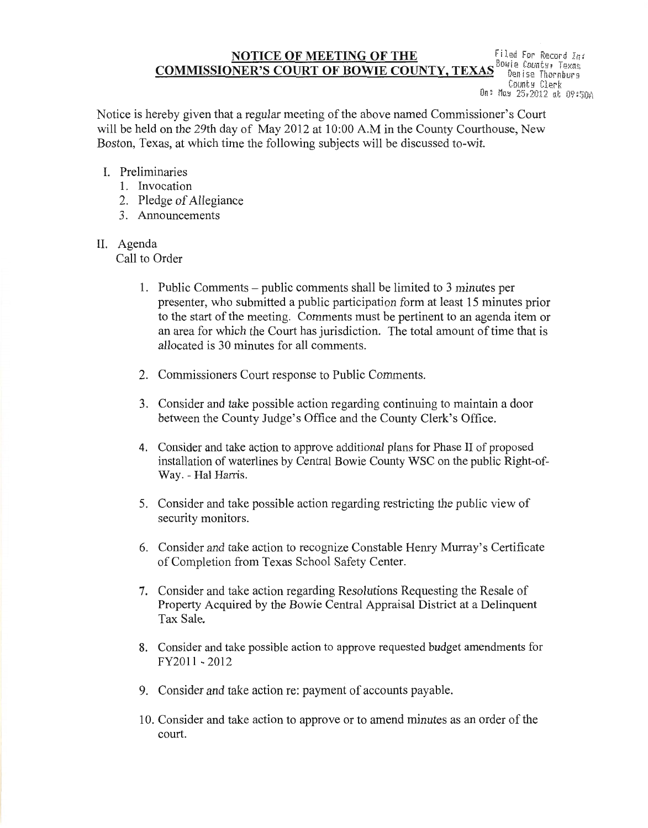## **NOTICE OF MEETING OF THE** Filed For Record In: **COMMISSIONER'S COORT OF BOWLE COONTY, TEXAS** Denise Thornburg County Clerk Un: May 25,2012 at 09:50A

Notice is hereby given that a regular meeting of the above named Commissioner's Court will be held on the 29th day of May 2012 at 10:00 A.M in the County Courthouse, New Boston, Texas, at which time the following subjects will be discussed to-wit.

# I. Preliminaries

- 1. Invocation
- 2. Pledge of Allegiance
- 3. Announcements

# II. Agenda

Call to Order

- 1. Public Comments public comments shall be limited to 3 minutes per presenter, who submitted a public participation form at least 15 minutes prior to the start of the meeting. Comments must be pertinent to an agenda item or an area for which the Court has jurisdiction. The total amount of time that is allocated is 30 minutes for all comments.
- 2. Commissioners Court response to Public Comments.
- 3. Consider and take possible action regarding continuing to maintain a door between the County Judge's Office and the County Clerk's Office.
- 4. Consider and take action to approve additional plans for Phase II of proposed installation of waterlines by Central Bowie County WSC on the public Right-of-Way. - Hal Harris.
- 5. Consider and take possible action regarding restricting the public view of security monitors.
- 6. Consider and take action to recognize Constable Henry Murray's Certificate of Completion from Texas School Safety Center.
- 7. Consider and take action regarding Resolutions Requesting the Resale of Property Acquired by the Bowie Central Appraisal District at a Delinquent Tax Sale.
- 8. Consider and take possible action to approve requested budget amendments for FY2011-2012
- 9. Consider and take action re: payment of accounts payable.
- 10. Consider and take action to approve or to amend minutes as an order of the court.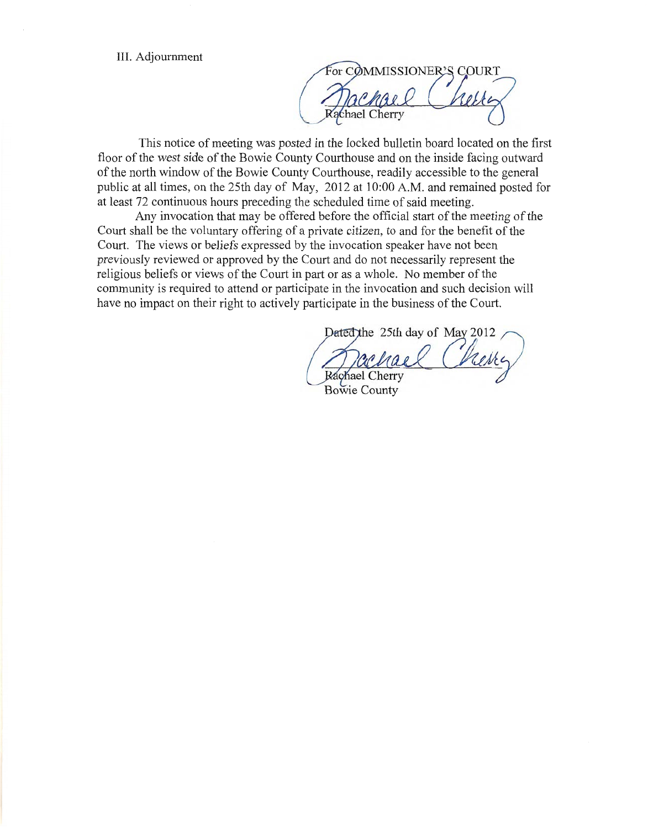III. Adjournment

For COMMISSIONER'S COURT **Zachael Cherry** 

This notice of meeting was posted in the locked bulletin board located on the first floor of the west side of the Bowie County Courthouse and on the inside facing outward of the north window of the Bowie County Courthouse, readily accessible to the general public at all times, on the 25th day of May, 2012 at 10:00 A.M. and remained posted for at least 72 continuous hours preceding the scheduled time of said meeting.

Any invocation that may be offered before the official start of the meeting of the Court shall be the voluntary offering of a private citizen, to and for the benefit of the Court. The views or beliefs expressed by the invocation speaker have not been previously reviewed or approved by the Court and do not necessarily represent the religious beliefs or views of the Court in part or as a whole. No member of the community is required to attend or participate in the invocation and such decision will have no impact on their right to actively participate in the business of the Court.

Dated the 25th day of May 2012 Rachael Cherry **Bowie County**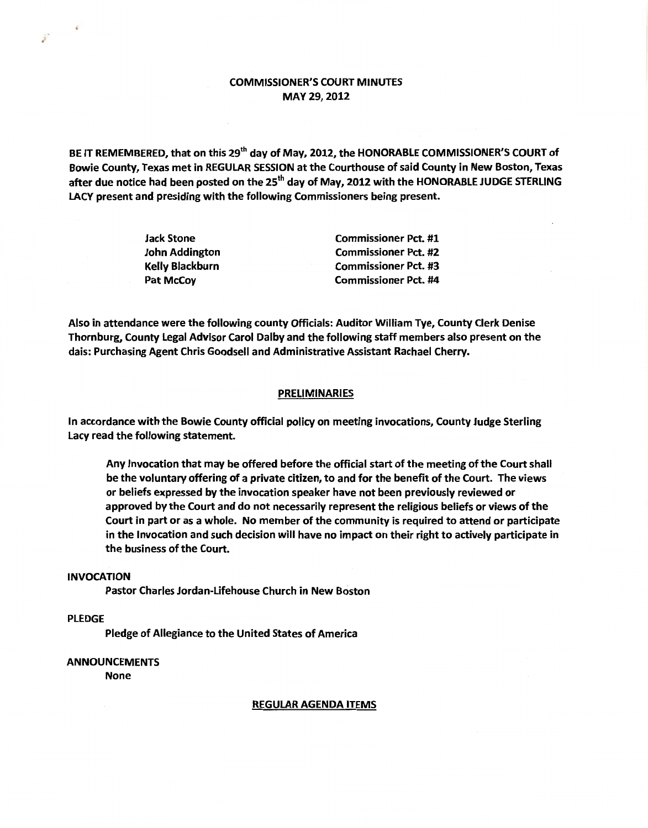## COMMISSIONER'S COURT MINUTES MAY 29,2012

BE IT REMEMBERED, that on this 29<sup>th</sup> day of May, 2012, the HONORABLE COMMISSIONER'S COURT of Bowie County, Texas met in REGULAR SESSION at the Courthouse of said County in New Boston, Texas after due notice had been posted on the 25<sup>th</sup> day of May, 2012 with the HONORABLE JUDGE STERLING LACY present and presiding with the following Commissioners being present.

| <b>Jack Stone</b>     | <b>Commissioner Pct. #1</b> |
|-----------------------|-----------------------------|
| <b>John Addington</b> | <b>Commissioner Pct. #2</b> |
| Kelly Blackburn       | <b>Commissioner Pct. #3</b> |
| Pat McCoy             | <b>Commissioner Pct. #4</b> |

Also in attendance were the following county Officials: Auditor William Tye, County Clerk Denise Thornburg, County Legal Advisor Carol Dalby and the following staff members also present on the dais: Purchasing Agent Chris Goodsell and Administrative Assistant Rachael Cherry.

### **PRELIMINARIES**

In accordance with the Bowie County official policy on meeting invocations, County Judge Sterling Lacy read the following statement.

Any Invocation that may be offered before the official start of the meeting of the Court shall be the voluntary offering of a private citizen, to and for the benefit of the Court. The views or beliefs expressed by the invocation speaker have not been previously reviewed or approved by the Court and do not necessarily represent the religious beliefs or views of the Court in part or as a whole. No member of the community is required to attend or participate in the Invocation and such decision will have no impact on their right to actively participate in the business of the Court.

### INVOCATION

Pastor Charles Jordan-Lifehouse Church in New Boston

## PLEDGE

Pledge of Allegiance to the United States of America

### ANNOUNCEMENTS

None

#### REGULAR AGENDA ITEMS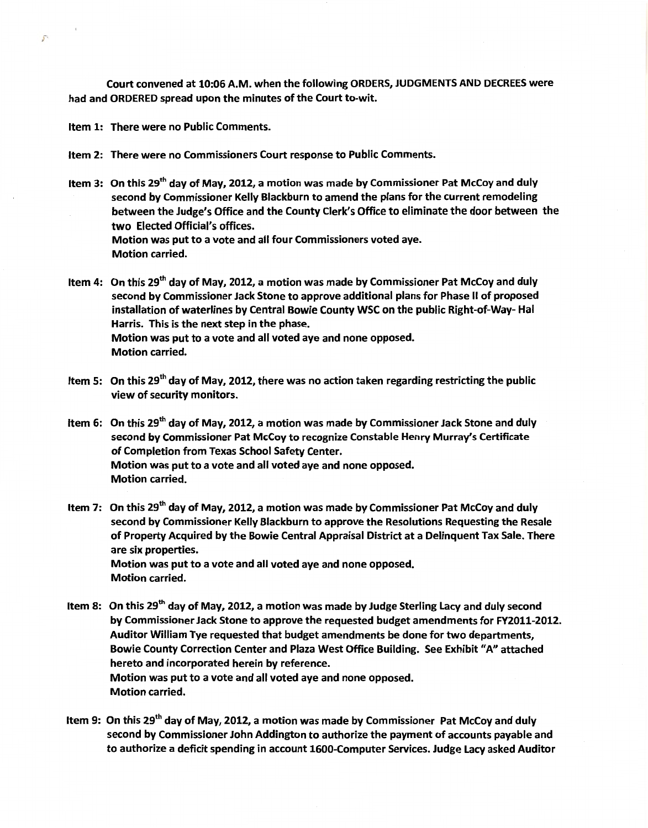Court convened at 10:06 A.M. when the following ORDERS, JUDGMENTS AND DECREES were had and ORDERED spread upon the minutes of the Court to-wit.

Item 1: There were no Public Comments.

Item 2: There were no Commissioners Court response to Public Comments.

Item 3: On this 29<sup>th</sup> day of May, 2012, a motion was made by Commissioner Pat McCoy and duly second by Commissioner Kelly Blackburn to amend the plans for the current remodeling between the Judge's Office and the County Clerk's Office to eliminate the door between the two Elected Official's offices. Motion was put to a vote and all four Commissioners voted aye. Motion carried.

Item 4: On this 29<sup>th</sup> day of May, 2012, a motion was made by Commissioner Pat McCoy and duly second by Commissioner Jack Stone to approve additional plans for Phase II of proposed installation of waterlines by Central Bowie County WSC on the public Right-of-Way- Hal Harris. This is the next step in the phase. Motion was put to a vote and all voted aye and none opposed. Motion carried.

- Item 5: On this 29<sup>th</sup> day of May, 2012, there was no action taken regarding restricting the public view of security monitors.
- Item 6: On this 29<sup>th</sup> day of May, 2012, a motion was made by Commissioner Jack Stone and duly second by Commissioner Pat McCoy to recognize Constable Henry Murray's Certificate of Completion from Texas School Safety Center. Motion was put to a vote and all voted aye and none opposed. Motion carried.
- Item 7: On this 29<sup>th</sup> day of May, 2012, a motion was made by Commissioner Pat McCoy and duly second by Commissioner Kelly Blackburn to approve the Resolutions Requesting the Resale of Property Acquired by the Bowie Central Appraisal District at a Delinquent Tax Sale. There are six properties. Motion was put to a vote and all voted aye and none opposed. Motion carried.
- Item 8: On this 29<sup>th</sup> day of May, 2012, a motion was made by Judge Sterling Lacy and duly second by Commissioner Jack Stone to approve the requested budget amendments for FY2011-2012. Auditor William Tye requested that budget amendments be done for two departments, Bowie County Correction Center and Plaza West Office Building. See Exhibit "A" attached hereto and incorporated herein by reference. Motion was put to a vote and all voted aye and none opposed. Motion carried.
- Item 9: On this 29<sup>th</sup> day of May, 2012, a motion was made by Commissioner Pat McCoy and duly second by Commissioner John Addington to authorize the payment of accounts payable and to authorize a deficit spending in account 1600-Computer Services. Judge Lacy asked Auditor

 $\mathcal{F}^{\mathbb{C}}$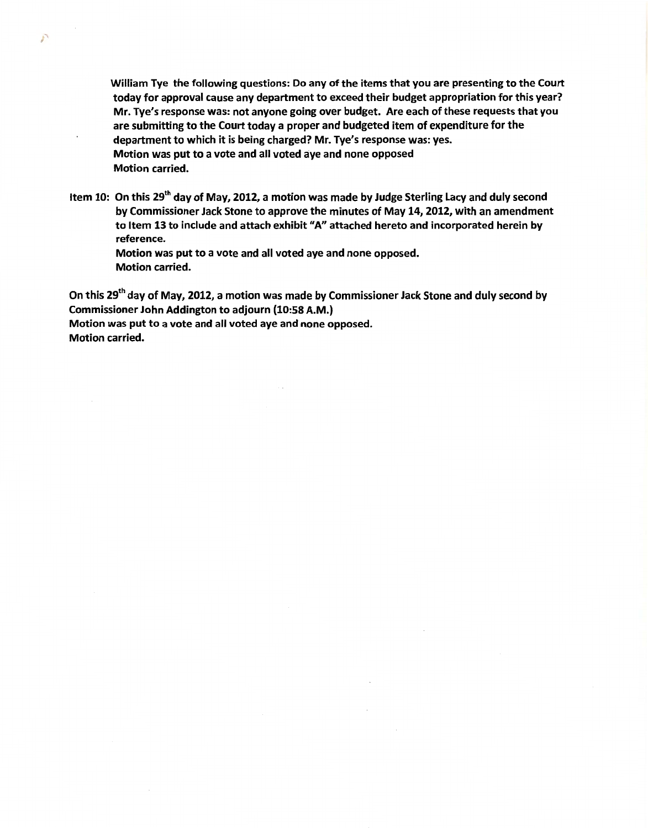William Tye the following questions: Do any of the items that you are presenting to the Court today for approval cause any department to exceed their budget appropriation for this year? Mr. Tye's response was: not anyone going over budget. Are each of these requests that you are submitting to the Court today a proper and budgeted item of expenditure for the department to which it is being charged? Mr. Tye's response was: yes. Motion was put to a vote and all voted aye and none opposed Motion carried.

Item 10: On this 29<sup>th</sup> day of May, 2012, a motion was made by Judge Sterling Lacy and duly second by Commissioner Jack Stone to approve the minutes of May 14, 2012, with an amendment to Item 13 to include and attach exhibit "A" attached hereto and incorporated herein by reference.

Motion was put to a vote and all voted aye and none opposed. Motion carried.

On this 29<sup>th</sup> day of May, 2012, a motion was made by Commissioner Jack Stone and duly second by Commissioner John Addington to adjourn (10:58 A.M.)

Motion was put to a vote and all voted aye and none opposed. Motion carried.

P